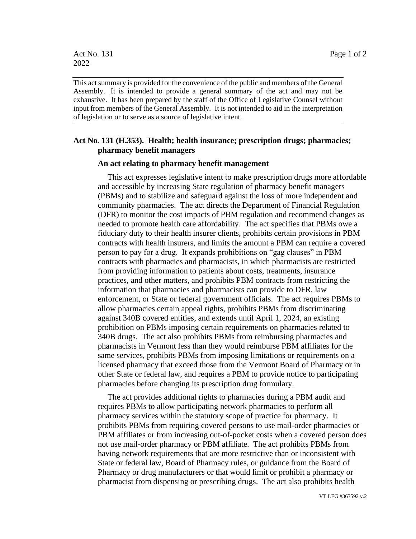This act summary is provided for the convenience of the public and members of the General Assembly. It is intended to provide a general summary of the act and may not be exhaustive. It has been prepared by the staff of the Office of Legislative Counsel without input from members of the General Assembly. It is not intended to aid in the interpretation of legislation or to serve as a source of legislative intent.

## **Act No. 131 (H.353). Health; health insurance; prescription drugs; pharmacies; pharmacy benefit managers**

## **An act relating to pharmacy benefit management**

This act expresses legislative intent to make prescription drugs more affordable and accessible by increasing State regulation of pharmacy benefit managers (PBMs) and to stabilize and safeguard against the loss of more independent and community pharmacies. The act directs the Department of Financial Regulation (DFR) to monitor the cost impacts of PBM regulation and recommend changes as needed to promote health care affordability. The act specifies that PBMs owe a fiduciary duty to their health insurer clients, prohibits certain provisions in PBM contracts with health insurers, and limits the amount a PBM can require a covered person to pay for a drug. It expands prohibitions on "gag clauses" in PBM contracts with pharmacies and pharmacists, in which pharmacists are restricted from providing information to patients about costs, treatments, insurance practices, and other matters, and prohibits PBM contracts from restricting the information that pharmacies and pharmacists can provide to DFR, law enforcement, or State or federal government officials. The act requires PBMs to allow pharmacies certain appeal rights, prohibits PBMs from discriminating against 340B covered entities, and extends until April 1, 2024, an existing prohibition on PBMs imposing certain requirements on pharmacies related to 340B drugs. The act also prohibits PBMs from reimbursing pharmacies and pharmacists in Vermont less than they would reimburse PBM affiliates for the same services, prohibits PBMs from imposing limitations or requirements on a licensed pharmacy that exceed those from the Vermont Board of Pharmacy or in other State or federal law, and requires a PBM to provide notice to participating pharmacies before changing its prescription drug formulary.

The act provides additional rights to pharmacies during a PBM audit and requires PBMs to allow participating network pharmacies to perform all pharmacy services within the statutory scope of practice for pharmacy. It prohibits PBMs from requiring covered persons to use mail-order pharmacies or PBM affiliates or from increasing out-of-pocket costs when a covered person does not use mail-order pharmacy or PBM affiliate. The act prohibits PBMs from having network requirements that are more restrictive than or inconsistent with State or federal law, Board of Pharmacy rules, or guidance from the Board of Pharmacy or drug manufacturers or that would limit or prohibit a pharmacy or pharmacist from dispensing or prescribing drugs. The act also prohibits health